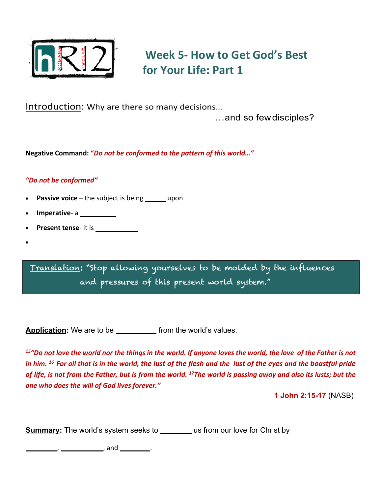

# **Week 5- How to Get God's Best for Your Life: Part 1**

Introduction: Why are there so many decisions…

…and so fewdisciples?

**Negative Command: "***Do not be conformed to the pattern of this world…"*

# *"Do not be conformed"*

- **Passive voice** the subject is being \_\_\_\_\_\_ upon
- **Imperative- a**
- **Present tense-** it is \_\_\_\_\_\_\_\_\_\_\_\_\_\_\_
- •

Translation: "Stop allowing yourselves to be molded by the influences and pressures of this present world system."

**Application:** We are to be \_\_\_\_\_\_\_\_\_\_\_\_ from the world's values.

*15"Do not love the world nor the things in the world. If anyone loves the world, the love of the Father is not in him. 16 For all that is in the world, the lust of the flesh and the lust of the eyes and the boastful pride of life, is not from the Father, but is from the world. 17The world is passing away and also its lusts; but the one who does the will of God lives forever."*

**1 John 2:15-17** (NASB)

**Summary:** The world's system seeks to \_\_\_\_\_\_\_ us from our love for Christ by

**PLEASURE**, **POSSESSIONS**, and **POSITION**.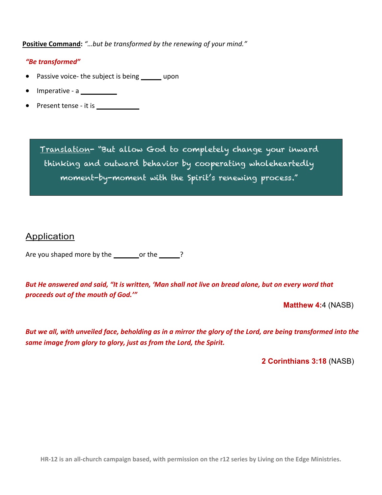**Positive Command:** *"…but be transformed by the renewing of your mind."*

## *"Be transformed"*

- Passive voice- the subject is being \_\_\_\_\_\_ upon
- Imperative a **COMMAND**
- Present tense it is **CONTINUOUS**

Translation- "But allow God to completely change your inward thinking and outward behavior by cooperating wholeheartedly moment-by-moment with the Spirit's renewing process."

Application

Are you shaped more by the **word** or the **WORD**?

*But He answered and said, "It is written, 'Man shall not live on bread alone, but on every word that proceeds out of the mouth of God.'"*

**Matthew 4:**4 (NASB)

*But we all, with unveiled face, beholding as in a mirror the glory of the Lord, are being transformed into the same image from glory to glory, just as from the Lord, the Spirit.*

**2 Corinthians 3:18** (NASB)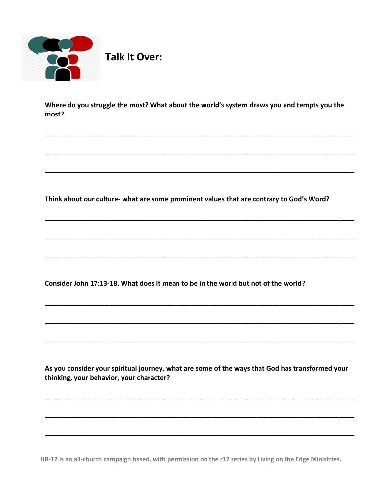

Where do you struggle the most? What about the world's system draws you and tempts you the most?

Think about our culture- what are some prominent values that are contrary to God's Word?

Consider John 17:13-18. What does it mean to be in the world but not of the world?

As you consider your spiritual journey, what are some of the ways that God has transformed your thinking, your behavior, your character?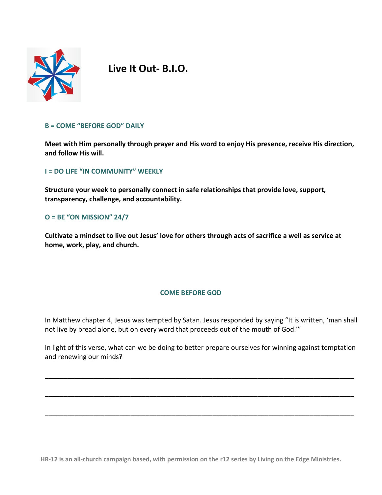

**Live It Out- B.I.O.**

#### **B = COME "BEFORE GOD" DAILY**

**Meet with Him personally through prayer and His word to enjoy His presence, receive His direction, and follow His will.** 

**I = DO LIFE "IN COMMUNITY" WEEKLY**

**Structure your week to personally connect in safe relationships that provide love, support, transparency, challenge, and accountability.** 

#### **O = BE "ON MISSION" 24/7**

**Cultivate a mindset to live out Jesus' love for others through acts of sacrifice a well as service at home, work, play, and church.** 

#### **COME BEFORE GOD**

In Matthew chapter 4, Jesus was tempted by Satan. Jesus responded by saying "It is written, 'man shall not live by bread alone, but on every word that proceeds out of the mouth of God.'"

In light of this verse, what can we be doing to better prepare ourselves for winning against temptation and renewing our minds?

**\_\_\_\_\_\_\_\_\_\_\_\_\_\_\_\_\_\_\_\_\_\_\_\_\_\_\_\_\_\_\_\_\_\_\_\_\_\_\_\_\_\_\_\_\_\_\_\_\_\_\_\_\_\_\_\_\_\_\_\_\_\_\_\_\_\_\_\_\_\_\_\_\_\_\_\_\_\_\_\_\_\_\_**

**\_\_\_\_\_\_\_\_\_\_\_\_\_\_\_\_\_\_\_\_\_\_\_\_\_\_\_\_\_\_\_\_\_\_\_\_\_\_\_\_\_\_\_\_\_\_\_\_\_\_\_\_\_\_\_\_\_\_\_\_\_\_\_\_\_\_\_\_\_\_\_\_\_\_\_\_\_\_\_\_\_\_\_**

**\_\_\_\_\_\_\_\_\_\_\_\_\_\_\_\_\_\_\_\_\_\_\_\_\_\_\_\_\_\_\_\_\_\_\_\_\_\_\_\_\_\_\_\_\_\_\_\_\_\_\_\_\_\_\_\_\_\_\_\_\_\_\_\_\_\_\_\_\_\_\_\_\_\_\_\_\_\_\_\_\_\_\_**